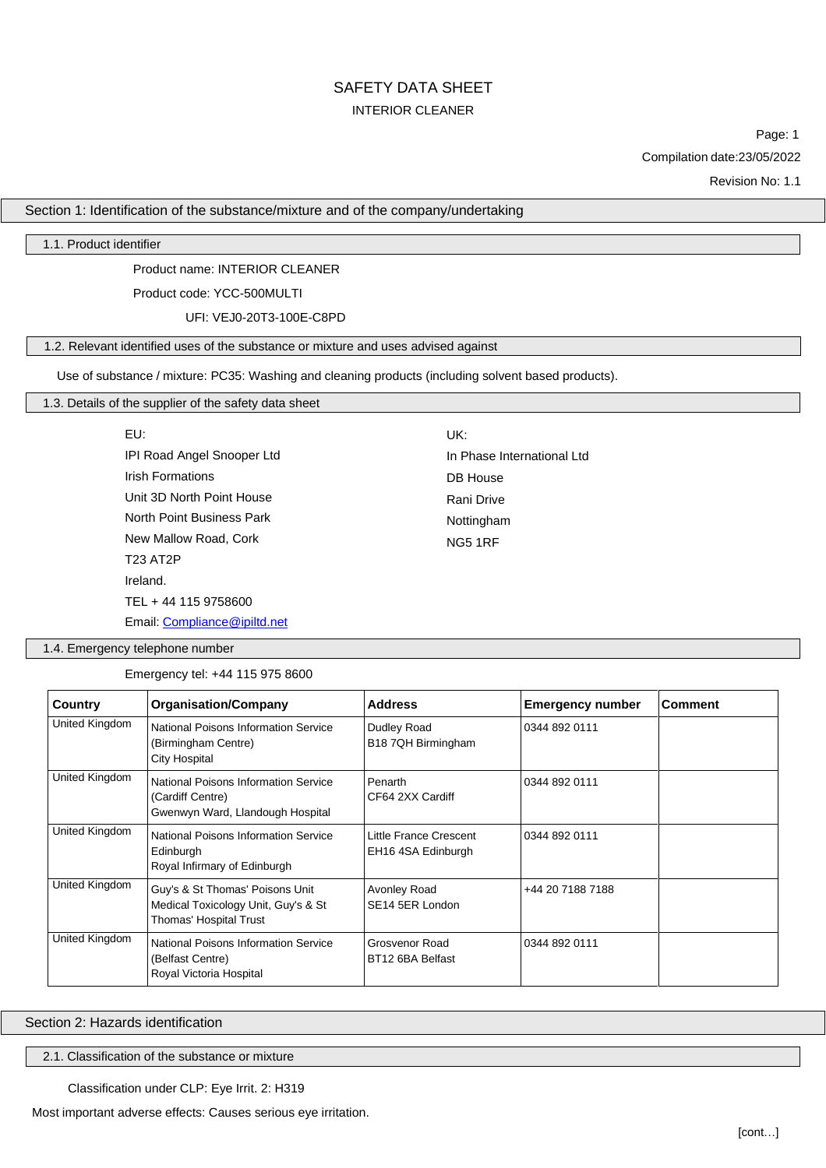UK:

DB House Rani Drive Nottingham NG5 1RF

In Phase International Ltd

Page: 1 Compilation date:23/05/2022

Revision No: 1.1

Section 1: Identification of the substance/mixture and of the company/undertaking

1.1. Product identifier

Product name: INTERIOR CLEANER

Product code: YCC-500MULTI

UFI: VEJ0-20T3-100E-C8PD

# 1.2. Relevant identified uses of the substance or mixture and uses advised against

Use of substance / mixture: PC35: Washing and cleaning products (including solvent based products).

# 1.3. Details of the supplier of the safety data sheet

| FU:                          |
|------------------------------|
| IPI Road Angel Snooper Ltd   |
| <b>Irish Formations</b>      |
| Unit 3D North Point House    |
| North Point Business Park    |
| New Mallow Road. Cork        |
| T23 AT2P                     |
| Ireland                      |
| TEL + 44 115 9758600         |
| Email: Compliance@ipiltd.net |

1.4. Emergency telephone number

Emergency tel: +44 115 975 8600

| <b>Country</b>                                                                                                     | <b>Organisation/Company</b>                                                                  | <b>Address</b>                               | <b>Emergency number</b> | <b>Comment</b> |
|--------------------------------------------------------------------------------------------------------------------|----------------------------------------------------------------------------------------------|----------------------------------------------|-------------------------|----------------|
| United Kingdom                                                                                                     | National Poisons Information Service<br>(Birmingham Centre)<br>City Hospital                 | Dudley Road<br>B18 7QH Birmingham            | 0344 892 0111           |                |
| United Kingdom                                                                                                     | National Poisons Information Service<br>(Cardiff Centre)<br>Gwenwyn Ward, Llandough Hospital | Penarth<br>CF64 2XX Cardiff                  | 0344 892 0111           |                |
| United Kingdom                                                                                                     | National Poisons Information Service<br>Edinburgh<br>Royal Infirmary of Edinburgh            | Little France Crescent<br>EH16 4SA Edinburgh | 0344 892 0111           |                |
| United Kingdom<br>Guy's & St Thomas' Poisons Unit<br>Medical Toxicology Unit, Guy's & St<br>Thomas' Hospital Trust |                                                                                              | Avonley Road<br>SE14 5ER London              | +44 20 7188 7188        |                |
| United Kingdom                                                                                                     | National Poisons Information Service<br>(Belfast Centre)<br>Royal Victoria Hospital          | Grosvenor Road<br>BT12 6BA Belfast           | 0344 892 0111           |                |

Section 2: Hazards identification

2.1. Classification of the substance or mixture

Classification under CLP: Eye Irrit. 2: H319

Most important adverse effects: Causes serious eye irritation.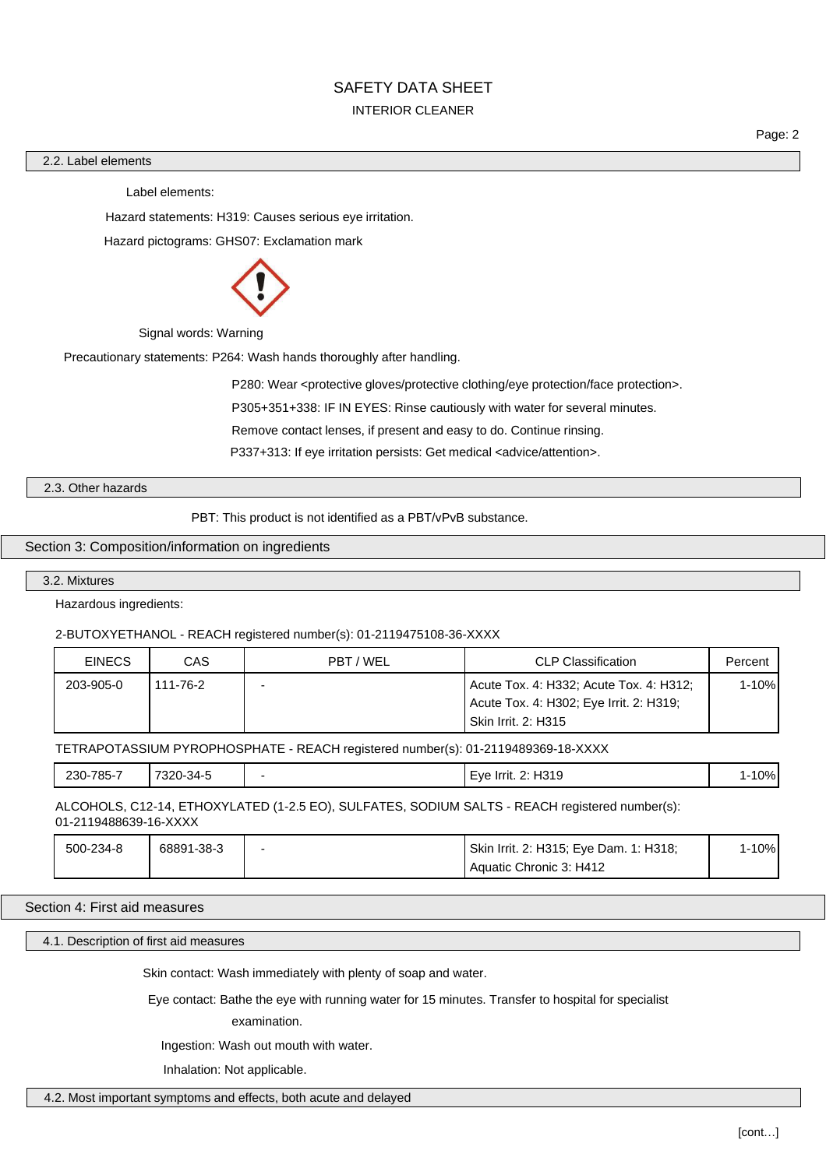# 2.2. Label elements

Label elements:

Hazard statements: H319: Causes serious eye irritation.

Hazard pictograms: GHS07: Exclamation mark



Signal words: Warning

Precautionary statements: P264: Wash hands thoroughly after handling.

P280: Wear <protective gloves/protective clothing/eye protection/face protection>. P305+351+338: IF IN EYES: Rinse cautiously with water for several minutes. Remove contact lenses, if present and easy to do. Continue rinsing. P337+313: If eye irritation persists: Get medical <advice/attention>.

2.3. Other hazards

PBT: This product is not identified as a PBT/vPvB substance.

#### Section 3: Composition/information on ingredients

### 3.2. Mixtures

Hazardous ingredients:

#### 2-BUTOXYETHANOL - REACH registered number(s): 01-2119475108-36-XXXX

| <b>EINECS</b> | CAS      | PBT / WEL | CLP Classification                                                                                        | Percent   |
|---------------|----------|-----------|-----------------------------------------------------------------------------------------------------------|-----------|
| 203-905-0     | 111-76-2 |           | Acute Tox. 4: H332; Acute Tox. 4: H312;<br>Acute Tox. 4: H302; Eye Irrit. 2: H319;<br>Skin Irrit. 2: H315 | $1 - 10%$ |

TETRAPOTASSIUM PYROPHOSPHATE - REACH registered number(s): 01-2119489369-18-XXXX

| 230-785-7 | 7320-34-5 |  | Eve Irrit. 2: H319 | 1-10% |
|-----------|-----------|--|--------------------|-------|
|-----------|-----------|--|--------------------|-------|

#### ALCOHOLS, C12-14, ETHOXYLATED (1-2.5 EO), SULFATES, SODIUM SALTS - REACH registered number(s): 01-2119488639-16-XXXX

| 500-234-8 | 68891-38-3 | Skin Irrit. 2: H315; Eye Dam. 1: H318; | $-10\%$ |
|-----------|------------|----------------------------------------|---------|
|           |            | Aquatic Chronic 3: H412                |         |

### Section 4: First aid measures

#### 4.1. Description of first aid measures

Skin contact: Wash immediately with plenty of soap and water.

Eye contact: Bathe the eye with running water for 15 minutes. Transfer to hospital for specialist

examination.

Ingestion: Wash out mouth with water.

Inhalation: Not applicable.

4.2. Most important symptoms and effects, both acute and delayed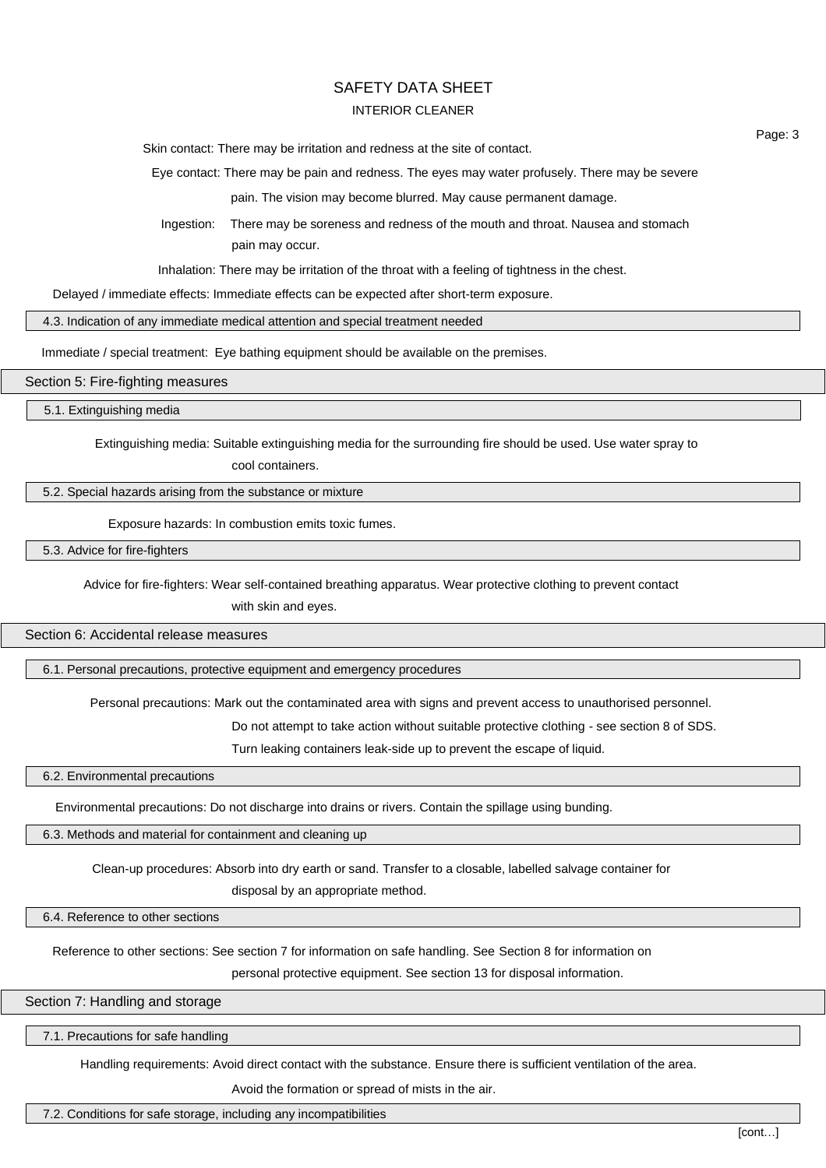# SAFETY DATA SHEET

### INTERIOR CLEANER

Skin contact: There may be irritation and redness at the site of contact.

Eye contact: There may be pain and redness. The eyes may water profusely. There may be severe pain. The vision may become blurred. May cause permanent damage.

Ingestion: There may be soreness and redness of the mouth and throat. Nausea and stomach pain may occur.

Inhalation: There may be irritation of the throat with a feeling of tightness in the chest.

Delayed / immediate effects: Immediate effects can be expected after short-term exposure.

4.3. Indication of any immediate medical attention and special treatment needed

Immediate / special treatment: Eye bathing equipment should be available on the premises.

Section 5: Fire-fighting measures

5.1. Extinguishing media

Extinguishing media: Suitable extinguishing media for the surrounding fire should be used. Use water spray to

cool containers.

5.2. Special hazards arising from the substance or mixture

Exposure hazards: In combustion emits toxic fumes.

5.3. Advice for fire-fighters

Advice for fire-fighters: Wear self-contained breathing apparatus. Wear protective clothing to prevent contact

with skin and eyes.

Section 6: Accidental release measures

6.1. Personal precautions, protective equipment and emergency procedures

Personal precautions: Mark out the contaminated area with signs and prevent access to unauthorised personnel.

Do not attempt to take action without suitable protective clothing - see section 8 of SDS.

Turn leaking containers leak-side up to prevent the escape of liquid.

6.2. Environmental precautions

Environmental precautions: Do not discharge into drains or rivers. Contain the spillage using bunding.

6.3. Methods and material for containment and cleaning up

Clean-up procedures: Absorb into dry earth or sand. Transfer to a closable, labelled salvage container for

disposal by an appropriate method.

6.4. Reference to other sections

Reference to other sections: See section 7 for information on safe handling. See Section 8 for information on

personal protective equipment. See section 13 for disposal information.

Section 7: Handling and storage

7.1. Precautions for safe handling

Handling requirements: Avoid direct contact with the substance. Ensure there is sufficient ventilation of the area.

Avoid the formation or spread of mists in the air.

7.2. Conditions for safe storage, including any incompatibilities

Page: 3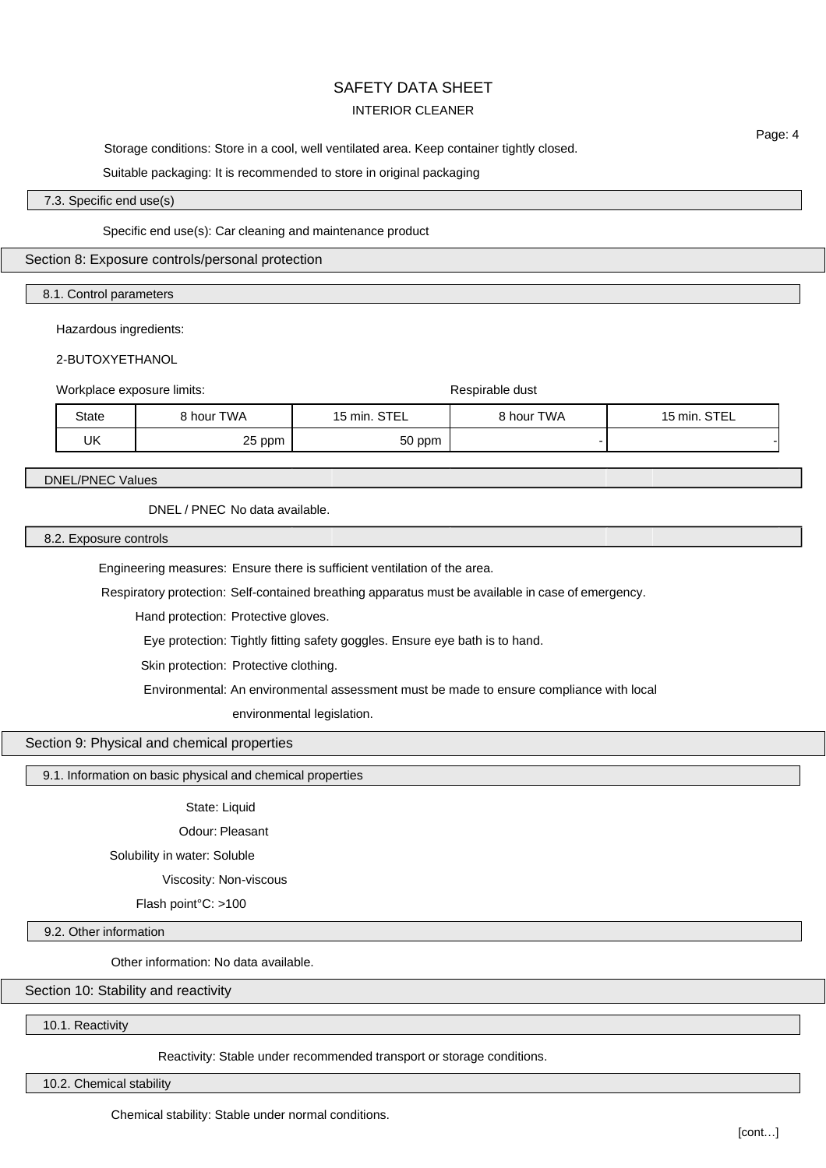# SAFETY DATA SHEET

# INTERIOR CLEANER

Storage conditions: Store in a cool, well ventilated area. Keep container tightly closed.

Suitable packaging: It is recommended to store in original packaging

#### 7.3. Specific end use(s)

Specific end use(s): Car cleaning and maintenance product

#### Section 8: Exposure controls/personal protection

#### 8.1. Control parameters

Hazardous ingredients:

#### 2-BUTOXYETHANOL

Workplace exposure limits:

| State | hour TWA | <b>STEL</b><br>15 min. | hour TWA | $\cap$ TEI<br>15 min.<br><b>SIEL</b> |
|-------|----------|------------------------|----------|--------------------------------------|
| UK    | 25 ppm   | 50 ppm                 |          |                                      |

DNEL/PNEC Values

DNEL / PNEC No data available.

8.2. Exposure controls

Engineering measures: Ensure there is sufficient ventilation of the area.

Respiratory protection: Self-contained breathing apparatus must be available in case of emergency.

Hand protection: Protective gloves.

Eye protection: Tightly fitting safety goggles. Ensure eye bath is to hand.

Skin protection: Protective clothing.

Environmental: An environmental assessment must be made to ensure compliance with local

environmental legislation.

#### Section 9: Physical and chemical properties

9.1. Information on basic physical and chemical properties

State: Liquid

Odour: Pleasant

Solubility in water: Soluble

Viscosity: Non-viscous

Flash point°C: >100

9.2. Other information

Other information: No data available.

Section 10: Stability and reactivity

10.1. Reactivity

Reactivity: Stable under recommended transport or storage conditions.

10.2. Chemical stability

Chemical stability: Stable under normal conditions.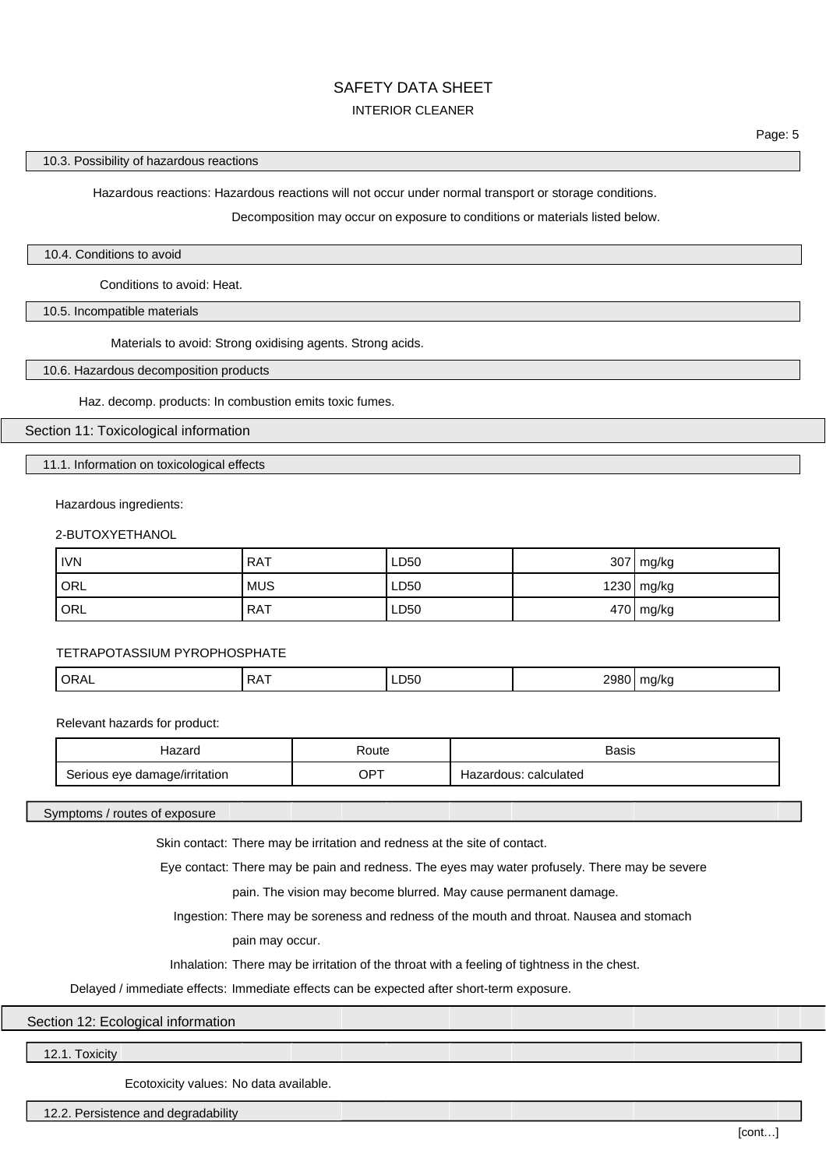## 10.3. Possibility of hazardous reactions

Hazardous reactions: Hazardous reactions will not occur under normal transport or storage conditions.

Decomposition may occur on exposure to conditions or materials listed below.

#### 10.4. Conditions to avoid

Conditions to avoid: Heat.

10.5. Incompatible materials

Materials to avoid: Strong oxidising agents. Strong acids.

10.6. Hazardous decomposition products

Haz. decomp. products: In combustion emits toxic fumes.

Section 11: Toxicological information

11.1. Information on toxicological effects

Hazardous ingredients:

# 2-BUTOXYETHANOL

| <b>IVN</b> | <b>RAT</b> | LD50 | 307 mg/kg  |
|------------|------------|------|------------|
| ORL        | <b>MUS</b> | LD50 | 1230 mg/kg |
| ORL        | <b>RAT</b> | LD50 | 470 mg/kg  |

#### TETRAPOTASSIUM PYROPHOSPHATE

| 2980<br><b>ORAL</b><br>.<br>LD50<br>RA.<br>ma/ka<br>--- |  |
|---------------------------------------------------------|--|
|---------------------------------------------------------|--|

Relevant hazards for product:

| Hazaro                        | Route | Basis                      |
|-------------------------------|-------|----------------------------|
| Serious eye damage/irritation | OPT   | calculated<br>: lazardous: |

Symptoms / routes of exposure

Skin contact: There may be irritation and redness at the site of contact.

Eye contact: There may be pain and redness. The eyes may water profusely. There may be severe

pain. The vision may become blurred. May cause permanent damage.

Ingestion: There may be soreness and redness of the mouth and throat. Nausea and stomach

pain may occur.

Inhalation: There may be irritation of the throat with a feeling of tightness in the chest.

Delayed / immediate effects: Immediate effects can be expected after short-term exposure.

## Section 12: Ecological information

12.1. Toxicity

Ecotoxicity values: No data available.

12.2. Persistence and degradability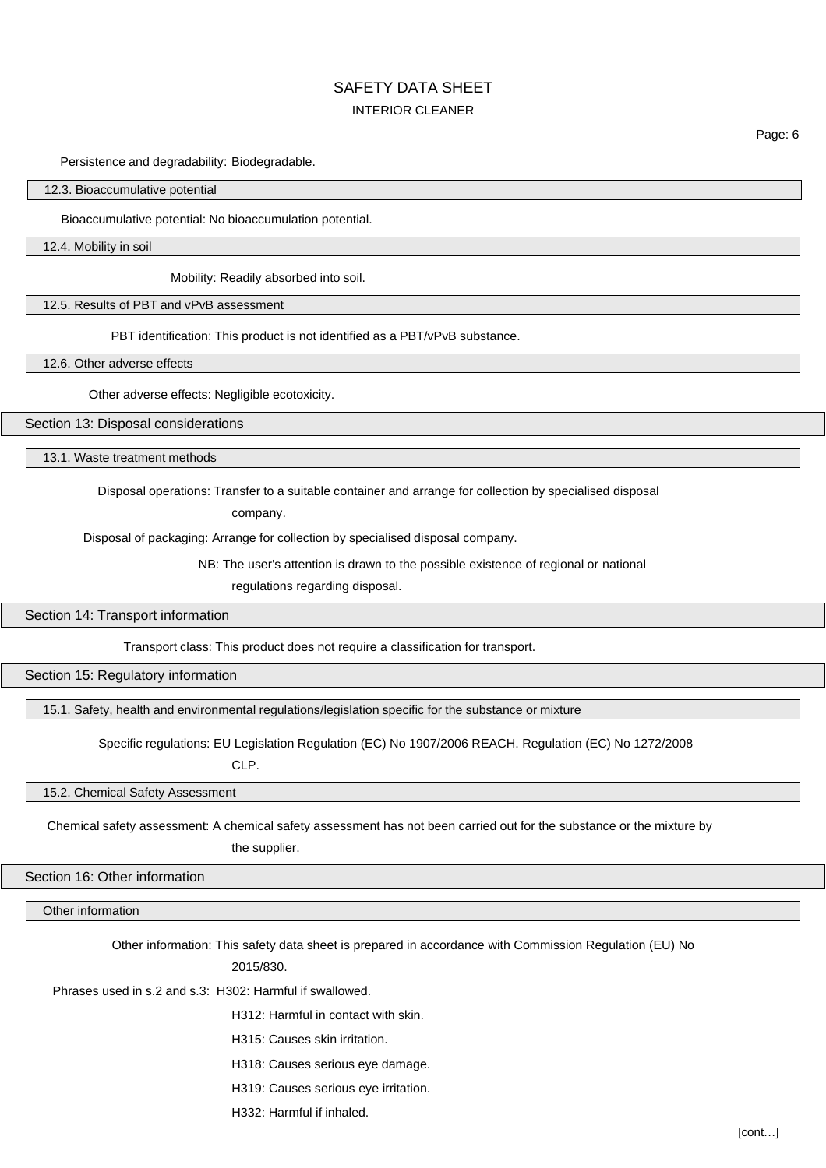Persistence and degradability: Biodegradable.

12.3. Bioaccumulative potential

Bioaccumulative potential: No bioaccumulation potential.

12.4. Mobility in soil

Mobility: Readily absorbed into soil.

12.5. Results of PBT and vPvB assessment

PBT identification: This product is not identified as a PBT/vPvB substance.

12.6. Other adverse effects

Other adverse effects: Negligible ecotoxicity.

Section 13: Disposal considerations

13.1. Waste treatment methods

Disposal operations: Transfer to a suitable container and arrange for collection by specialised disposal

company.

Disposal of packaging: Arrange for collection by specialised disposal company.

NB: The user's attention is drawn to the possible existence of regional or national

regulations regarding disposal.

Section 14: Transport information

Transport class: This product does not require a classification for transport.

Section 15: Regulatory information

15.1. Safety, health and environmental regulations/legislation specific for the substance or mixture

Specific regulations: EU Legislation Regulation (EC) No 1907/2006 REACH. Regulation (EC) No 1272/2008

CLP.

15.2. Chemical Safety Assessment

Chemical safety assessment: A chemical safety assessment has not been carried out for the substance or the mixture by

the supplier.

Section 16: Other information

Other information

Other information: This safety data sheet is prepared in accordance with Commission Regulation (EU) No

2015/830.

Phrases used in s.2 and s.3: H302: Harmful if swallowed.

H312: Harmful in contact with skin.

H315: Causes skin irritation.

H318: Causes serious eye damage.

H319: Causes serious eye irritation.

H332: Harmful if inhaled.

[cont…]